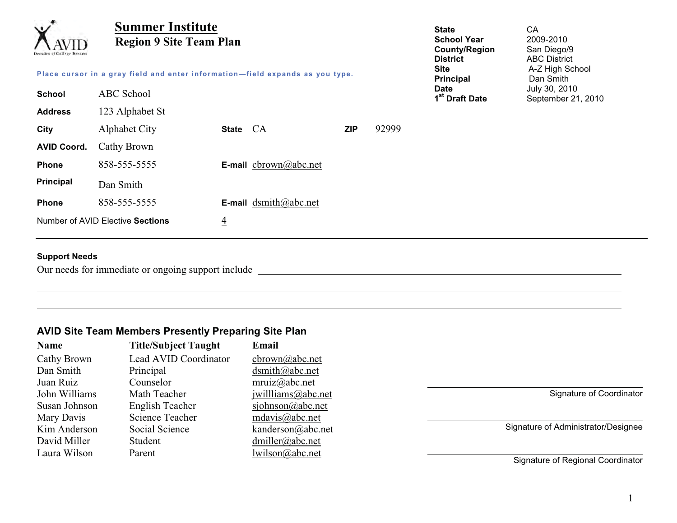| $\checkmark$<br>Jecades of College Dreams                                     | <b>Summer Institute</b><br><b>Region 9 Site Team Plan</b> |                |                              |            | <b>State</b><br><b>School Year</b><br><b>County/Region</b><br><b>District</b> | CA<br>2009-2010<br>San Diego/9<br><b>ABC District</b> |                                     |
|-------------------------------------------------------------------------------|-----------------------------------------------------------|----------------|------------------------------|------------|-------------------------------------------------------------------------------|-------------------------------------------------------|-------------------------------------|
| Place cursor in a gray field and enter information-field expands as you type. |                                                           |                |                              |            | <b>Site</b><br>Principal                                                      | A-Z High School<br>Dan Smith                          |                                     |
| <b>School</b>                                                                 | <b>ABC</b> School                                         |                |                              |            |                                                                               | <b>Date</b><br>1 <sup>st</sup> Draft Date             | July 30, 2010<br>September 21, 2010 |
| <b>Address</b>                                                                | 123 Alphabet St                                           |                |                              |            |                                                                               |                                                       |                                     |
| City                                                                          | Alphabet City                                             | State CA       |                              | <b>ZIP</b> | 92999                                                                         |                                                       |                                     |
| <b>AVID Coord.</b>                                                            | Cathy Brown                                               |                |                              |            |                                                                               |                                                       |                                     |
| <b>Phone</b>                                                                  | 858-555-5555                                              |                | <b>E-mail</b> cbrown@abc.net |            |                                                                               |                                                       |                                     |
| <b>Principal</b>                                                              | Dan Smith                                                 |                |                              |            |                                                                               |                                                       |                                     |
| <b>Phone</b>                                                                  | 858-555-5555                                              |                | <b>E-mail</b> dsmith@abc.net |            |                                                                               |                                                       |                                     |
|                                                                               | Number of AVID Elective Sections                          | $\overline{4}$ |                              |            |                                                                               |                                                       |                                     |

#### **Support Needs**

Our needs for immediate or ongoing support include

### **AVID Site Team Members Presently Preparing Site Plan**

| <b>Name</b>   | <b>Title/Subject Taught</b> | Email              |
|---------------|-----------------------------|--------------------|
| Cathy Brown   | Lead AVID Coordinator       | cbrown@abc.net     |
| Dan Smith     | Principal                   | $d$ smith@abc.net  |
| Juan Ruiz     | Counselor                   | mruiz@abc.net      |
| John Williams | Math Teacher                | jwillliams@abc.net |
| Susan Johnson | English Teacher             | sjohnson@abc.net   |
| Mary Davis    | <b>Science Teacher</b>      | mdavis@abc.net     |
| Kim Anderson  | Social Science              | kanderson@abc.net  |
| David Miller  | Student                     | dmiller@abc.net    |
| Laura Wilson  | Parent                      | lwilson@abc.net    |

Signature of Coordinator

Signature of Administrator/Designee

Signature of Regional Coordinator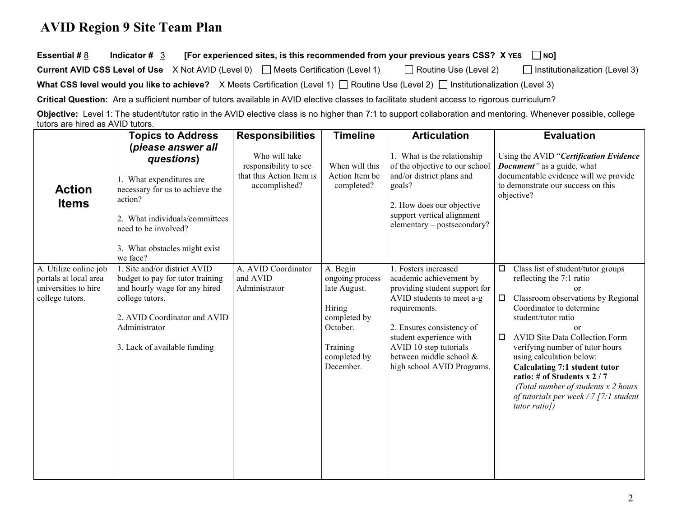### **AVID Region 9 Site Team Plan**

**Essential #** 8Indicator  $\sharp$  3 [For experienced sites, is this recommended from your previous years CSS? X YES  $\Box$  NO]

| <b>Current AVID CSS Level of Use</b> $\quad$ X Not AVID (Level 0) $\quad$ Meets Certification (Level 1) |  |  | $\Box$ Routine Use (Level 2) | $\Box$ Institutionalization (Level 3) |
|---------------------------------------------------------------------------------------------------------|--|--|------------------------------|---------------------------------------|
|---------------------------------------------------------------------------------------------------------|--|--|------------------------------|---------------------------------------|

**What CSS level would you like to achieve?** X Meets Certification (Level 1) □ Routine Use (Level 2) □ Institutionalization (Level 3)

**Critical Question:** Are a sufficient number of tutors available in AVID elective classes to facilitate student access to rigorous curriculum?

**Objective:** Level 1: The student/tutor ratio in the AVID elective class is no higher than 7:1 to support collaboration and mentoring. Whenever possible, college tutors are hired as AVID tutors.

|                                                                                           | <b>Topics to Address</b>                                                                                                                                                                                          | <b>Responsibilities</b>                                                             | <b>Timeline</b>                                                                                                            | <b>Articulation</b>                                                                                                                                                                                                                                                       | <b>Evaluation</b>                                                                                                                                                                                                                                                                                                                                                                                                                                                                    |
|-------------------------------------------------------------------------------------------|-------------------------------------------------------------------------------------------------------------------------------------------------------------------------------------------------------------------|-------------------------------------------------------------------------------------|----------------------------------------------------------------------------------------------------------------------------|---------------------------------------------------------------------------------------------------------------------------------------------------------------------------------------------------------------------------------------------------------------------------|--------------------------------------------------------------------------------------------------------------------------------------------------------------------------------------------------------------------------------------------------------------------------------------------------------------------------------------------------------------------------------------------------------------------------------------------------------------------------------------|
| <b>Action</b><br><b>Items</b>                                                             | (please answer all<br>questions)<br>1. What expenditures are<br>necessary for us to achieve the<br>action?<br>2. What individuals/committees<br>need to be involved?<br>3. What obstacles might exist<br>we face? | Who will take<br>responsibility to see<br>that this Action Item is<br>accomplished? | When will this<br>Action Item be<br>completed?                                                                             | 1. What is the relationship<br>of the objective to our school<br>and/or district plans and<br>goals?<br>2. How does our objective<br>support vertical alignment<br>elementary - postsecondary?                                                                            | Using the AVID "Certification Evidence<br><b>Document</b> " as a guide, what<br>documentable evidence will we provide<br>to demonstrate our success on this<br>objective?                                                                                                                                                                                                                                                                                                            |
| A. Utilize online job<br>portals at local area<br>universities to hire<br>college tutors. | 1. Site and/or district AVID<br>budget to pay for tutor training<br>and hourly wage for any hired<br>college tutors.<br>2. AVID Coordinator and AVID<br>Administrator<br>3. Lack of available funding             | A. AVID Coordinator<br>and AVID<br>Administrator                                    | A. Begin<br>ongoing process<br>late August.<br>Hiring<br>completed by<br>October.<br>Training<br>completed by<br>December. | 1. Fosters increased<br>academic achievement by<br>providing student support for<br>AVID students to meet a-g<br>requirements.<br>2. Ensures consistency of<br>student experience with<br>AVID 10 step tutorials<br>between middle school &<br>high school AVID Programs. | Class list of student/tutor groups<br>$\Box$<br>reflecting the 7:1 ratio<br>or<br>Classroom observations by Regional<br>$\Box$<br>Coordinator to determine<br>student/tutor ratio<br><sub>or</sub><br><b>AVID Site Data Collection Form</b><br>□<br>verifying number of tutor hours<br>using calculation below:<br>Calculating 7:1 student tutor<br>ratio: # of Students x 2 / 7<br>(Total number of students x 2 hours<br>of tutorials per week / 7 [7:1 student<br>$tutor ratio$ ) |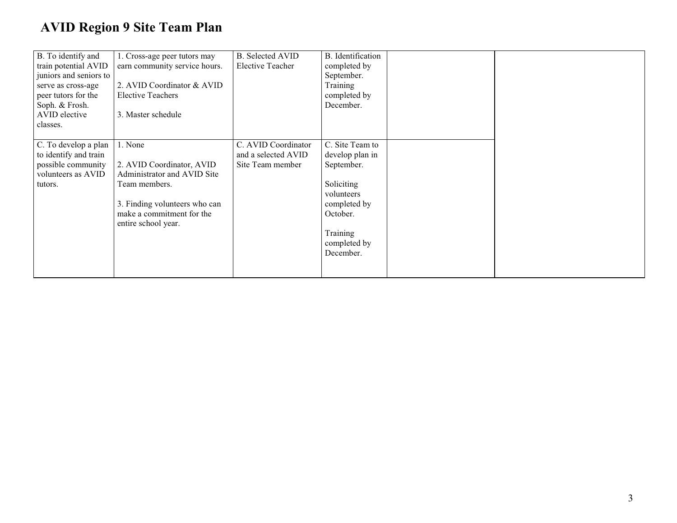## **AVID Region 9 Site Team Plan**

| B. To identify and<br>train potential AVID<br>juniors and seniors to<br>serve as cross-age<br>peer tutors for the<br>Soph. & Frosh.<br>AVID elective<br>classes. | 1. Cross-age peer tutors may<br>earn community service hours.<br>2. AVID Coordinator & AVID<br><b>Elective Teachers</b><br>3. Master schedule                             | <b>B.</b> Selected AVID<br><b>Elective Teacher</b>             | B. Identification<br>completed by<br>September.<br>Training<br>completed by<br>December.                                                          |  |
|------------------------------------------------------------------------------------------------------------------------------------------------------------------|---------------------------------------------------------------------------------------------------------------------------------------------------------------------------|----------------------------------------------------------------|---------------------------------------------------------------------------------------------------------------------------------------------------|--|
| C. To develop a plan<br>to identify and train<br>possible community<br>volunteers as AVID<br>tutors.                                                             | 1. None<br>2. AVID Coordinator, AVID<br>Administrator and AVID Site<br>Team members.<br>3. Finding volunteers who can<br>make a commitment for the<br>entire school year. | C. AVID Coordinator<br>and a selected AVID<br>Site Team member | C. Site Team to<br>develop plan in<br>September.<br>Soliciting<br>volunteers<br>completed by<br>October.<br>Training<br>completed by<br>December. |  |